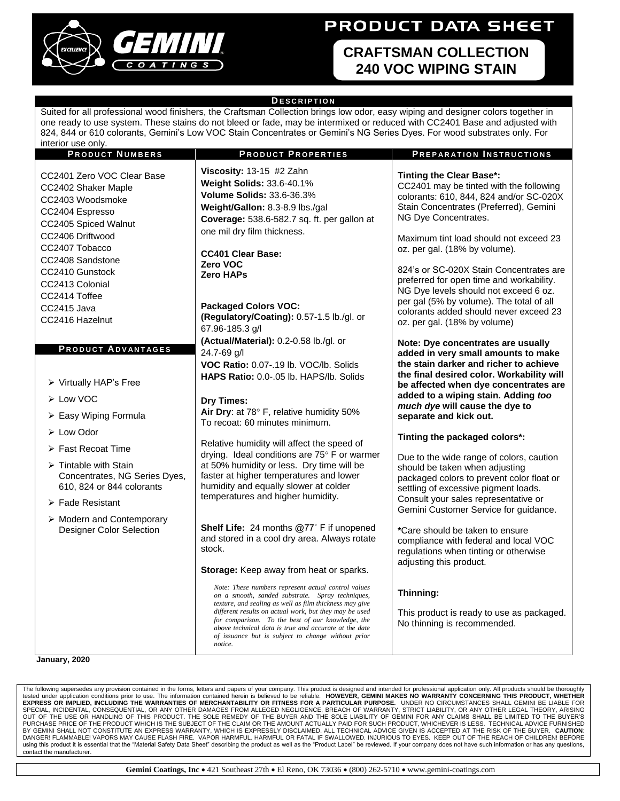

## **PRODUCT DATA SHEET**

## **CRAFTSMAN COLLECTION 240 VOC WIPING STAIN**

## **D E S C R I P T I O N**

Suited for all professional wood finishers, the Craftsman Collection brings low odor, easy wiping and designer colors together in one ready to use system. These stains do not bleed or fade, may be intermixed or reduced with CC2401 Base and adjusted with 824, 844 or 610 colorants, Gemini's Low VOC Stain Concentrates or Gemini's NG Series Dyes. For wood substrates only. For interior use only.

| <b>PRODUCT NUMBERS</b>                                                                                                                                                                                                            | <b>PRODUCT PROPERTIES</b>                                                                                                                                                                                                                                                                                                                                                                                   | <b>PREPARATION INSTRUCTIONS</b>                                                                                                                                                                                                                                                                                                                                                                    |
|-----------------------------------------------------------------------------------------------------------------------------------------------------------------------------------------------------------------------------------|-------------------------------------------------------------------------------------------------------------------------------------------------------------------------------------------------------------------------------------------------------------------------------------------------------------------------------------------------------------------------------------------------------------|----------------------------------------------------------------------------------------------------------------------------------------------------------------------------------------------------------------------------------------------------------------------------------------------------------------------------------------------------------------------------------------------------|
| CC2401 Zero VOC Clear Base<br>CC2402 Shaker Maple<br>CC2403 Woodsmoke<br>CC2404 Espresso<br>CC2405 Spiced Walnut<br>CC2406 Driftwood<br>CC2407 Tobacco<br>CC2408 Sandstone<br>CC2410 Gunstock<br>CC2413 Colonial<br>CC2414 Toffee | Viscosity: $13-15$ #2 Zahn<br>Weight Solids: 33.6-40.1%<br><b>Volume Solids: 33.6-36.3%</b><br>Weight/Gallon: 8.3-8.9 lbs./gal<br>Coverage: 538.6-582.7 sq. ft. per gallon at<br>one mil dry film thickness.<br><b>CC401 Clear Base:</b><br>Zero VOC<br><b>Zero HAPs</b>                                                                                                                                    | <b>Tinting the Clear Base*:</b><br>CC2401 may be tinted with the following<br>colorants: 610, 844, 824 and/or SC-020X<br>Stain Concentrates (Preferred), Gemini<br>NG Dye Concentrates.<br>Maximum tint load should not exceed 23<br>oz. per gal. (18% by volume).<br>824's or SC-020X Stain Concentrates are<br>preferred for open time and workability.<br>NG Dye levels should not exceed 6 oz. |
| CC2415 Java                                                                                                                                                                                                                       | <b>Packaged Colors VOC:</b>                                                                                                                                                                                                                                                                                                                                                                                 | per gal (5% by volume). The total of all                                                                                                                                                                                                                                                                                                                                                           |
| CC2416 Hazelnut                                                                                                                                                                                                                   | (Regulatory/Coating): 0.57-1.5 lb./gl. or<br>67.96-185.3 g/l                                                                                                                                                                                                                                                                                                                                                | colorants added should never exceed 23<br>oz. per gal. (18% by volume)                                                                                                                                                                                                                                                                                                                             |
| <b>PRODUCT ADVANTAGES</b><br>> Virtually HAP's Free                                                                                                                                                                               | (Actual/Material): 0.2-0.58 lb./gl. or<br>24.7-69 g/l<br>VOC Ratio: 0.07-.19 lb. VOC/lb. Solids<br>HAPS Ratio: 0.0-.05 lb. HAPS/lb. Solids                                                                                                                                                                                                                                                                  | Note: Dye concentrates are usually<br>added in very small amounts to make<br>the stain darker and richer to achieve<br>the final desired color. Workability will<br>be affected when dye concentrates are                                                                                                                                                                                          |
| > Low VOC                                                                                                                                                                                                                         |                                                                                                                                                                                                                                                                                                                                                                                                             | added to a wiping stain. Adding too                                                                                                                                                                                                                                                                                                                                                                |
| > Easy Wiping Formula                                                                                                                                                                                                             | <b>Dry Times:</b><br>Air Dry: at 78° F, relative humidity 50%<br>To recoat: 60 minutes minimum.                                                                                                                                                                                                                                                                                                             | much dye will cause the dye to<br>separate and kick out.                                                                                                                                                                                                                                                                                                                                           |
| $\triangleright$ Low Odor                                                                                                                                                                                                         |                                                                                                                                                                                                                                                                                                                                                                                                             | Tinting the packaged colors*:                                                                                                                                                                                                                                                                                                                                                                      |
| $\triangleright$ Fast Recoat Time                                                                                                                                                                                                 | Relative humidity will affect the speed of<br>drying. Ideal conditions are 75° F or warmer                                                                                                                                                                                                                                                                                                                  |                                                                                                                                                                                                                                                                                                                                                                                                    |
| $\triangleright$ Tintable with Stain<br>Concentrates, NG Series Dyes,<br>610, 824 or 844 colorants<br>$\triangleright$ Fade Resistant                                                                                             | at 50% humidity or less. Dry time will be<br>faster at higher temperatures and lower<br>humidity and equally slower at colder<br>temperatures and higher humidity.                                                                                                                                                                                                                                          | Due to the wide range of colors, caution<br>should be taken when adjusting<br>packaged colors to prevent color float or<br>settling of excessive pigment loads.<br>Consult your sales representative or<br>Gemini Customer Service for guidance.                                                                                                                                                   |
| $\triangleright$ Modern and Contemporary<br>Designer Color Selection                                                                                                                                                              | Shelf Life: 24 months @77° F if unopened<br>and stored in a cool dry area. Always rotate<br>stock.<br>Storage: Keep away from heat or sparks.                                                                                                                                                                                                                                                               | *Care should be taken to ensure<br>compliance with federal and local VOC<br>regulations when tinting or otherwise<br>adjusting this product.                                                                                                                                                                                                                                                       |
|                                                                                                                                                                                                                                   | Note: These numbers represent actual control values<br>on a smooth, sanded substrate. Spray techniques,<br>texture, and sealing as well as film thickness may give<br>different results on actual work, but they may be used<br>for comparison. To the best of our knowledge, the<br>above technical data is true and accurate at the date<br>of issuance but is subject to change without prior<br>notice. | Thinning:<br>This product is ready to use as packaged.<br>No thinning is recommended.                                                                                                                                                                                                                                                                                                              |

**January, 2020**

The following supersedes any provision contained in the forms, letters and papers of your company. This product is designed and intended for professional application only. All products should be thorough tested under application conditions prior to use. The information contained herein is believed to be reliable. HOWEVER, GEMINI MAKES NO WARRANTY CONCERNING THIS PRODUCT, WHETHER<br>EXPRESS OR IMPLIED, INCLUDING THE WARRANTIES BY GEMINI SHALL NOT CONSTITUTE AN EXPRESS WARRANTY, WHICH IS EXPRESSLY DISCLAIMED. ALL TECHNICAL ADVICE GIVEN IS ACCEPTED AT THE RISK OF THE BUYER. **CAUTION**: DANGER! FLAMMABLE! VAPORS MAY CAUSE FLASH FIRE. VAPOR HARMFUL. HARMFUL OR FATAL IF SWALLOWED. INJURIOUS TO EYES. KEEP OUT OF THE REACH OF CHILDREN! BEFORE using this product it is essential that the "Material Safety Data Sheet" describing the product as well as the "Product Label" be reviewed. If your company does not have such information or has any questions, contact the manufacturer.